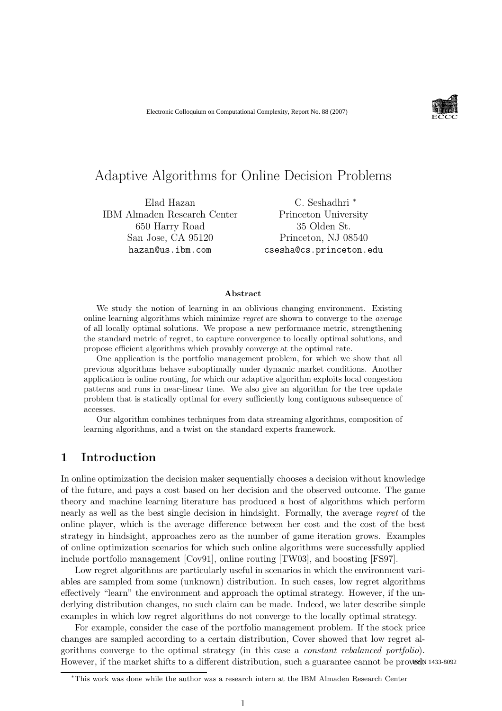

## Adaptive Algorithms for Online Decision Problems

Elad Hazan IBM Almaden Research Center 650 Harry Road San Jose, CA 95120 hazan@us.ibm.com

C. Seshadhri <sup>∗</sup> Princeton University 35 Olden St. Princeton, NJ 08540 csesha@cs.princeton.edu

#### Abstract

We study the notion of learning in an oblivious changing environment. Existing online learning algorithms which minimize regret are shown to converge to the average of all locally optimal solutions. We propose a new performance metric, strengthening the standard metric of regret, to capture convergence to locally optimal solutions, and propose efficient algorithms which provably converge at the optimal rate.

One application is the portfolio management problem, for which we show that all previous algorithms behave suboptimally under dynamic market conditions. Another application is online routing, for which our adaptive algorithm exploits local congestion patterns and runs in near-linear time. We also give an algorithm for the tree update problem that is statically optimal for every sufficiently long contiguous subsequence of accesses.

Our algorithm combines techniques from data streaming algorithms, composition of learning algorithms, and a twist on the standard experts framework.

## 1 Introduction

In online optimization the decision maker sequentially chooses a decision without knowledge of the future, and pays a cost based on her decision and the observed outcome. The game theory and machine learning literature has produced a host of algorithms which perform nearly as well as the best single decision in hindsight. Formally, the average regret of the online player, which is the average difference between her cost and the cost of the best strategy in hindsight, approaches zero as the number of game iteration grows. Examples of online optimization scenarios for which such online algorithms were successfully applied include portfolio management [Cov91], online routing [TW03], and boosting [FS97].

Low regret algorithms are particularly useful in scenarios in which the environment variables are sampled from some (unknown) distribution. In such cases, low regret algorithms effectively "learn" the environment and approach the optimal strategy. However, if the underlying distribution changes, no such claim can be made. Indeed, we later describe simple examples in which low regret algorithms do not converge to the locally optimal strategy.

For example, consider the case of the portfolio management problem. If the stock price changes are sampled according to a certain distribution, Cover showed that low regret algorithms converge to the optimal strategy (in this case a constant rebalanced portfolio). However, if the market shifts to a different distribution, such a guarantee cannot be provision 1433-8092

<sup>∗</sup>This work was done while the author was a research intern at the IBM Almaden Research Center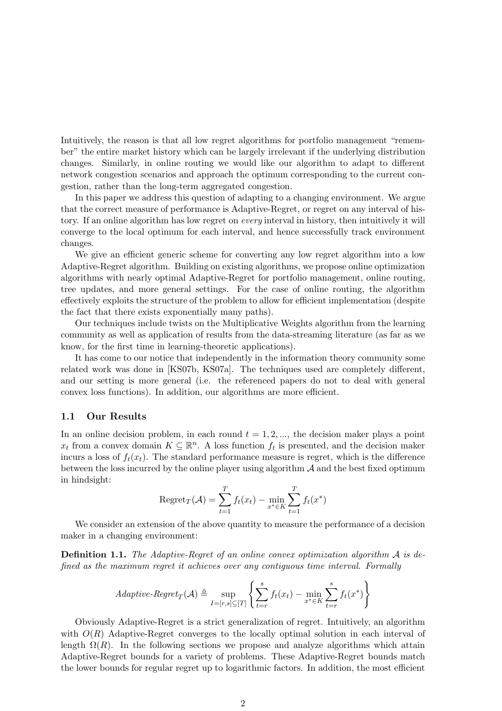Intuitively, the reason is that all low regret algorithms for portfolio management "remember" the entire market history which can be largely irrelevant if the underlying distribution changes. Similarly, in online routing we would like our algorithm to adapt to different network congestion scenarios and approach the optimum corresponding to the current congestion, rather than the long-term aggregated congestion.

In this paper we address this question of adapting to a changing environment. We argue that the correct measure of performance is Adaptive-Regret, or regret on any interval of history. If an online algorithm has low regret on every interval in history, then intuitively it will converge to the local optimum for each interval, and hence successfully track environment changes.

We give an efficient generic scheme for converting any low regret algorithm into a low Adaptive-Regret algorithm. Building on existing algorithms, we propose online optimization algorithms with nearly optimal Adaptive-Regret for portfolio management, online routing, tree updates, and more general settings. For the case of online routing, the algorithm effectively exploits the structure of the problem to allow for efficient implementation (despite the fact that there exists exponentially many paths).

Our techniques include twists on the Multiplicative Weights algorithm from the learning community as well as application of results from the data-streaming literature (as far as we know, for the first time in learning-theoretic applications).

It has come to our notice that independently in the information theory community some related work was done in [KS07b, KS07a]. The techniques used are completely different, and our setting is more general (i.e. the referenced papers do not to deal with general convex loss functions). In addition, our algorithms are more efficient.

#### 1.1 Our Results

In an online decision problem, in each round  $t = 1, 2, \dots$ , the decision maker plays a point  $x_t$  from a convex domain  $K \subseteq \mathbb{R}^n$ . A loss function  $f_t$  is presented, and the decision maker incurs a loss of  $f_t(x_t)$ . The standard performance measure is regret, which is the difference between the loss incurred by the online player using algorithm  $\mathcal A$  and the best fixed optimum in hindsight:

Regret<sub>T</sub>(
$$
\mathcal{A}
$$
) =  $\sum_{t=1}^{T} f_t(x_t) - \min_{x^* \in K} \sum_{t=1}^{T} f_t(x^*)$ 

We consider an extension of the above quantity to measure the performance of a decision maker in a changing environment:

**Definition 1.1.** The Adaptive-Regret of an online convex optimization algorithm  $\mathcal{A}$  is defined as the maximum regret it achieves over any contiguous time interval. Formally

$$
Adaptive\text{-}Regret_T(\mathcal{A}) \triangleq \sup_{I=[r,s]\subseteq[T]} \left\{ \sum_{t=r}^{s} f_t(x_t) - \min_{x^* \in K} \sum_{t=r}^{s} f_t(x^*) \right\}
$$

Obviously Adaptive-Regret is a strict generalization of regret. Intuitively, an algorithm with  $O(R)$  Adaptive-Regret converges to the locally optimal solution in each interval of length  $\Omega(R)$ . In the following sections we propose and analyze algorithms which attain Adaptive-Regret bounds for a variety of problems. These Adaptive-Regret bounds match the lower bounds for regular regret up to logarithmic factors. In addition, the most efficient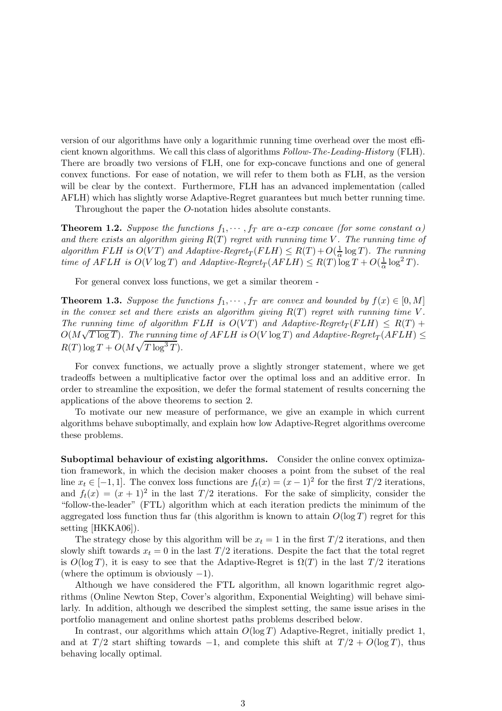version of our algorithms have only a logarithmic running time overhead over the most efficient known algorithms. We call this class of algorithms Follow-The-Leading-History (FLH). There are broadly two versions of FLH, one for exp-concave functions and one of general convex functions. For ease of notation, we will refer to them both as FLH, as the version will be clear by the context. Furthermore, FLH has an advanced implementation (called AFLH) which has slightly worse Adaptive-Regret guarantees but much better running time.

Throughout the paper the O-notation hides absolute constants.

**Theorem 1.2.** Suppose the functions  $f_1, \dots, f_T$  are  $\alpha$ -exp concave (for some constant  $\alpha$ ) and there exists an algorithm giving  $R(T)$  regret with running time V. The running time of algorithm FLH is  $O(VT)$  and Adaptive-Regret<sub>T</sub>(FLH)  $\leq R(T) + O(\frac{1}{\alpha})$  $\frac{1}{\alpha} \log T$ ). The running time of AFLH is  $O(V \log T)$  and Adaptive-Regret<sub>T</sub> $(AFLH) \leq R(T) \log T + O(\frac{1}{\alpha})$  $\frac{1}{\alpha} \log^2 T$ ).

For general convex loss functions, we get a similar theorem -

**Theorem 1.3.** Suppose the functions  $f_1, \dots, f_T$  are convex and bounded by  $f(x) \in [0, M]$ in the convex set and there exists an algorithm giving  $R(T)$  regret with running time V. The running time of algorithm FLH is  $O(VT)$  and Adaptive-Regret<sub>T</sub>(FLH)  $\leq R(T) +$  $O(M\sqrt{T\log T})$ . The running time of  $AFLH$  is  $O(V\log T)$  and Adaptive-Regret<sub>T</sub>  $(\overline{AFLH}) \le$  $R(T) \log T + O(M\sqrt{T\log^3 T}).$ 

For convex functions, we actually prove a slightly stronger statement, where we get tradeoffs between a multiplicative factor over the optimal loss and an additive error. In order to streamline the exposition, we defer the formal statement of results concerning the applications of the above theorems to section 2.

To motivate our new measure of performance, we give an example in which current algorithms behave suboptimally, and explain how low Adaptive-Regret algorithms overcome these problems.

Suboptimal behaviour of existing algorithms. Consider the online convex optimization framework, in which the decision maker chooses a point from the subset of the real line  $x_t \in [-1, 1]$ . The convex loss functions are  $f_t(x) = (x - 1)^2$  for the first  $T/2$  iterations, and  $f_t(x) = (x + 1)^2$  in the last  $T/2$  iterations. For the sake of simplicity, consider the "follow-the-leader" (FTL) algorithm which at each iteration predicts the minimum of the aggregated loss function thus far (this algorithm is known to attain  $O(\log T)$  regret for this setting [HKKA06]).

The strategy chose by this algorithm will be  $x_t = 1$  in the first  $T/2$  iterations, and then slowly shift towards  $x_t = 0$  in the last  $T/2$  iterations. Despite the fact that the total regret is  $O(\log T)$ , it is easy to see that the Adaptive-Regret is  $\Omega(T)$  in the last  $T/2$  iterations (where the optimum is obviously  $-1$ ).

Although we have considered the FTL algorithm, all known logarithmic regret algorithms (Online Newton Step, Cover's algorithm, Exponential Weighting) will behave similarly. In addition, although we described the simplest setting, the same issue arises in the portfolio management and online shortest paths problems described below.

In contrast, our algorithms which attain  $O(\log T)$  Adaptive-Regret, initially predict 1, and at  $T/2$  start shifting towards -1, and complete this shift at  $T/2 + O(\log T)$ , thus behaving locally optimal.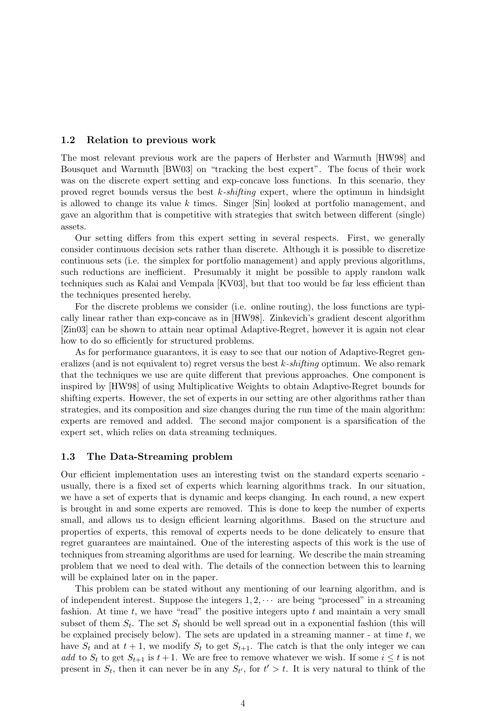#### 1.2 Relation to previous work

The most relevant previous work are the papers of Herbster and Warmuth [HW98] and Bousquet and Warmuth [BW03] on "tracking the best expert". The focus of their work was on the discrete expert setting and exp-concave loss functions. In this scenario, they proved regret bounds versus the best  $k$ -shifting expert, where the optimum in hindsight is allowed to change its value k times. Singer [Sin] looked at portfolio management, and gave an algorithm that is competitive with strategies that switch between different (single) assets.

Our setting differs from this expert setting in several respects. First, we generally consider continuous decision sets rather than discrete. Although it is possible to discretize continuous sets (i.e. the simplex for portfolio management) and apply previous algorithms, such reductions are inefficient. Presumably it might be possible to apply random walk techniques such as Kalai and Vempala [KV03], but that too would be far less efficient than the techniques presented hereby.

For the discrete problems we consider (i.e. online routing), the loss functions are typically linear rather than exp-concave as in [HW98]. Zinkevich's gradient descent algorithm [Zin03] can be shown to attain near optimal Adaptive-Regret, however it is again not clear how to do so efficiently for structured problems.

As for performance guarantees, it is easy to see that our notion of Adaptive-Regret generalizes (and is not equivalent to) regret versus the best  $k$ -shifting optimum. We also remark that the techniques we use are quite different that previous approaches. One component is inspired by [HW98] of using Multiplicative Weights to obtain Adaptive-Regret bounds for shifting experts. However, the set of experts in our setting are other algorithms rather than strategies, and its composition and size changes during the run time of the main algorithm: experts are removed and added. The second major component is a sparsification of the expert set, which relies on data streaming techniques.

#### 1.3 The Data-Streaming problem

Our efficient implementation uses an interesting twist on the standard experts scenario usually, there is a fixed set of experts which learning algorithms track. In our situation, we have a set of experts that is dynamic and keeps changing. In each round, a new expert is brought in and some experts are removed. This is done to keep the number of experts small, and allows us to design efficient learning algorithms. Based on the structure and properties of experts, this removal of experts needs to be done delicately to ensure that regret guarantees are maintained. One of the interesting aspects of this work is the use of techniques from streaming algorithms are used for learning. We describe the main streaming problem that we need to deal with. The details of the connection between this to learning will be explained later on in the paper.

This problem can be stated without any mentioning of our learning algorithm, and is of independent interest. Suppose the integers  $1, 2, \cdots$  are being "processed" in a streaming fashion. At time  $t$ , we have "read" the positive integers upto  $t$  and maintain a very small subset of them  $S_t$ . The set  $S_t$  should be well spread out in a exponential fashion (this will be explained precisely below). The sets are updated in a streaming manner - at time  $t$ , we have  $S_t$  and at  $t + 1$ , we modify  $S_t$  to get  $S_{t+1}$ . The catch is that the only integer we can add to  $S_t$  to get  $S_{t+1}$  is  $t+1$ . We are free to remove whatever we wish. If some  $i \leq t$  is not present in  $S_t$ , then it can never be in any  $S_{t'}$ , for  $t' > t$ . It is very natural to think of the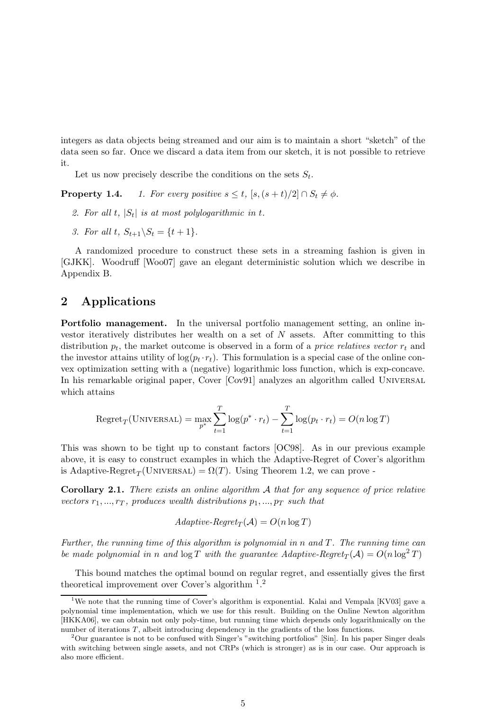integers as data objects being streamed and our aim is to maintain a short "sketch" of the data seen so far. Once we discard a data item from our sketch, it is not possible to retrieve it.

Let us now precisely describe the conditions on the sets  $S_t$ .

**Property 1.4.** 1. For every positive  $s \leq t$ ,  $[s, (s + t)/2] \cap S_t \neq \emptyset$ .

- 2. For all t,  $|S_t|$  is at most polylogarithmic in t.
- 3. For all t,  $S_{t+1} \backslash S_t = \{t+1\}.$

A randomized procedure to construct these sets in a streaming fashion is given in [GJKK]. Woodruff [Woo07] gave an elegant deterministic solution which we describe in Appendix B.

## 2 Applications

Portfolio management. In the universal portfolio management setting, an online investor iteratively distributes her wealth on a set of N assets. After committing to this distribution  $p_t$ , the market outcome is observed in a form of a *price relatives vector*  $r_t$  and the investor attains utility of  $\log(p_t \cdot r_t)$ . This formulation is a special case of the online convex optimization setting with a (negative) logarithmic loss function, which is exp-concave. In his remarkable original paper, Cover [Cov91] analyzes an algorithm called UNIVERSAL which attains

$$
Regret_T(\text{UNIVERSAL}) = \max_{p^*} \sum_{t=1}^T \log(p^* \cdot r_t) - \sum_{t=1}^T \log(p_t \cdot r_t) = O(n \log T)
$$

This was shown to be tight up to constant factors [OC98]. As in our previous example above, it is easy to construct examples in which the Adaptive-Regret of Cover's algorithm is Adaptive-Regret<sub>T</sub>(UNIVERSAL) =  $\Omega(T)$ . Using Theorem 1.2, we can prove -

Corollary 2.1. There exists an online algorithm A that for any sequence of price relative vectors  $r_1, ..., r_T$ , produces wealth distributions  $p_1, ..., p_T$  such that

$$
Adaptive\text{-}Regret_T(\mathcal{A}) = O(n \log T)
$$

Further, the running time of this algorithm is polynomial in n and T. The running time can be made polynomial in n and  $\log T$  with the guarantee Adaptive-Regret<sub>T</sub>(A) =  $O(n \log^2 T)$ 

This bound matches the optimal bound on regular regret, and essentially gives the first theoretical improvement over Cover's algorithm <sup>1</sup>.<sup>2</sup>

<sup>&</sup>lt;sup>1</sup>We note that the running time of Cover's algorithm is exponential. Kalai and Vempala [KV03] gave a polynomial time implementation, which we use for this result. Building on the Online Newton algorithm [HKKA06], we can obtain not only poly-time, but running time which depends only logarithmically on the number of iterations T, albeit introducing dependency in the gradients of the loss functions.

<sup>&</sup>lt;sup>2</sup>Our guarantee is not to be confused with Singer's "switching portfolios" [Sin]. In his paper Singer deals with switching between single assets, and not CRPs (which is stronger) as is in our case. Our approach is also more efficient.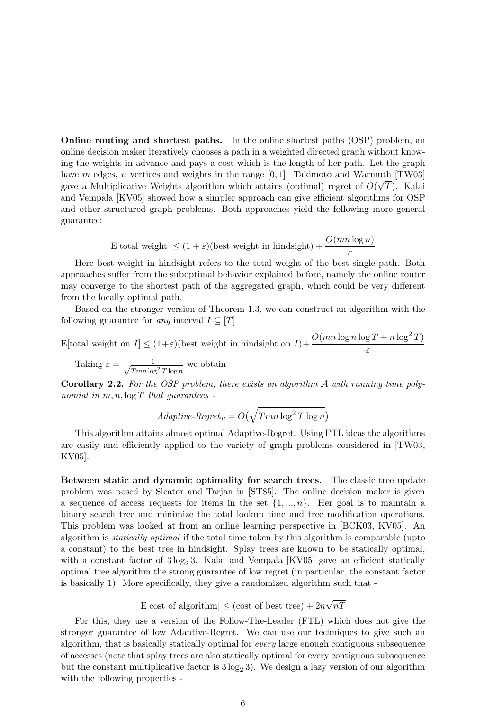Online routing and shortest paths. In the online shortest paths (OSP) problem, an online decision maker iteratively chooses a path in a weighted directed graph without knowing the weights in advance and pays a cost which is the length of her path. Let the graph have m edges, n vertices and weights in the range  $[0, 1]$ . Takimoto and Warmuth [TW03] gave a Multiplicative Weights algorithm which attains (optimal) regret of  $O(\sqrt{T})$ . Kalai and Vempala [KV05] showed how a simpler approach can give efficient algorithms for OSP and other structured graph problems. Both approaches yield the following more general guarantee:

$$
E[\text{total weight}] \le (1 + \varepsilon)(\text{best weight in hindsight}) + \frac{O(mn \log n)}{\varepsilon}
$$

Here best weight in hindsight refers to the total weight of the best single path. Both approaches suffer from the suboptimal behavior explained before, namely the online router may converge to the shortest path of the aggregated graph, which could be very different from the locally optimal path.

Based on the stronger version of Theorem 1.3, we can construct an algorithm with the following guarantee for any interval  $I \subseteq [T]$ 

E[total weight on  $I \leq (1+\varepsilon)$ (best weight in hindsight on  $I) + \frac{O(mn \log n \log T + n \log^2 T)}{\varepsilon}$ 

Taking  $\varepsilon = \frac{1}{\sqrt{T_{\text{min}}}}$  $\frac{1}{Tmn \log^2 T \log n}$  we obtain

**Corollary 2.2.** For the OSP problem, there exists an algorithm  $\mathcal A$  with running time polynomial in  $m, n, \log T$  that quarantees -

$$
Adaptive\text{-}Regret_T = O\left(\sqrt{Tmn\log^2 T\log n}\right)
$$

This algorithm attains almost optimal Adaptive-Regret. Using FTL ideas the algorithms are easily and efficiently applied to the variety of graph problems considered in [TW03, KV05].

Between static and dynamic optimality for search trees. The classic tree update problem was posed by Sleator and Tarjan in [ST85]. The online decision maker is given a sequence of access requests for items in the set  $\{1, ..., n\}$ . Her goal is to maintain a binary search tree and minimize the total lookup time and tree modification operations. This problem was looked at from an online learning perspective in [BCK03, KV05]. An algorithm is statically optimal if the total time taken by this algorithm is comparable (upto a constant) to the best tree in hindsight. Splay trees are known to be statically optimal, with a constant factor of  $3 \log_2 3$ . Kalai and Vempala [KV05] gave an efficient statically optimal tree algorithm the strong guarantee of low regret (in particular, the constant factor is basically 1). More specifically, they give a randomized algorithm such that -

E[cost of algorithm]  $\leq$  (cost of best tree)  $+ 2n\sqrt{nT}$ 

For this, they use a version of the Follow-The-Leader (FTL) which does not give the stronger guarantee of low Adaptive-Regret. We can use our techniques to give such an algorithm, that is basically statically optimal for every large enough contiguous subsequence of accesses (note that splay trees are also statically optimal for every contiguous subsequence but the constant multiplicative factor is  $3 \log_2 3$ . We design a lazy version of our algorithm with the following properties -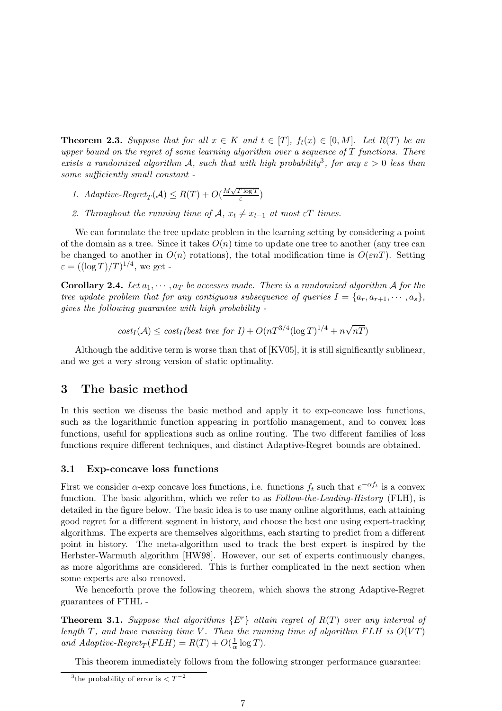**Theorem 2.3.** Suppose that for all  $x \in K$  and  $t \in [T]$ ,  $f_t(x) \in [0, M]$ . Let  $R(T)$  be an upper bound on the regret of some learning algorithm over a sequence of  $T$  functions. There exists a randomized algorithm A, such that with high probability<sup>3</sup>, for any  $\varepsilon > 0$  less than some sufficiently small constant -

- 1. Adaptive-Regret<sub>T</sub>( $A$ )  $\leq R(T) + O(\frac{M\sqrt{T \log T}}{\varepsilon})$  $\frac{\log I}{\varepsilon}$
- 2. Throughout the running time of  $\mathcal{A}, x_t \neq x_{t-1}$  at most  $\varepsilon T$  times.

We can formulate the tree update problem in the learning setting by considering a point of the domain as a tree. Since it takes  $O(n)$  time to update one tree to another (any tree can be changed to another in  $O(n)$  rotations), the total modification time is  $O(\varepsilon nT)$ . Setting  $\varepsilon = ((\log T)/T)^{1/4}$ , we get -

**Corollary 2.4.** Let  $a_1, \dots, a_T$  be accesses made. There is a randomized algorithm A for the tree update problem that for any contiguous subsequence of queries  $I = \{a_r, a_{r+1}, \cdots, a_s\},\$ gives the following guarantee with high probability -

$$
cost_I(\mathcal{A}) \leq cost_I (best\ tree\ for\ I) + O(nT^{3/4}(\log T)^{1/4} + n\sqrt{nT})
$$

Although the additive term is worse than that of [KV05], it is still significantly sublinear, and we get a very strong version of static optimality.

## 3 The basic method

In this section we discuss the basic method and apply it to exp-concave loss functions, such as the logarithmic function appearing in portfolio management, and to convex loss functions, useful for applications such as online routing. The two different families of loss functions require different techniques, and distinct Adaptive-Regret bounds are obtained.

#### 3.1 Exp-concave loss functions

First we consider  $\alpha$ -exp concave loss functions, i.e. functions  $f_t$  such that  $e^{-\alpha f_t}$  is a convex function. The basic algorithm, which we refer to as  $Follow-the-Leding-History$  (FLH), is detailed in the figure below. The basic idea is to use many online algorithms, each attaining good regret for a different segment in history, and choose the best one using expert-tracking algorithms. The experts are themselves algorithms, each starting to predict from a different point in history. The meta-algorithm used to track the best expert is inspired by the Herbster-Warmuth algorithm [HW98]. However, our set of experts continuously changes, as more algorithms are considered. This is further complicated in the next section when some experts are also removed.

We henceforth prove the following theorem, which shows the strong Adaptive-Regret guarantees of FTHL -

**Theorem 3.1.** Suppose that algorithms  $\{E^r\}$  attain regret of  $R(T)$  over any interval of length T, and have running time V. Then the running time of algorithm FLH is  $O(VT)$ and Adaptive-Regret<sub>T</sub> $(FLH) = R(T) + O(\frac{1}{\alpha})$  $\frac{1}{\alpha} \log T$ ).

This theorem immediately follows from the following stronger performance guarantee:

<sup>&</sup>lt;sup>3</sup>the probability of error is  $\lt T^{-2}$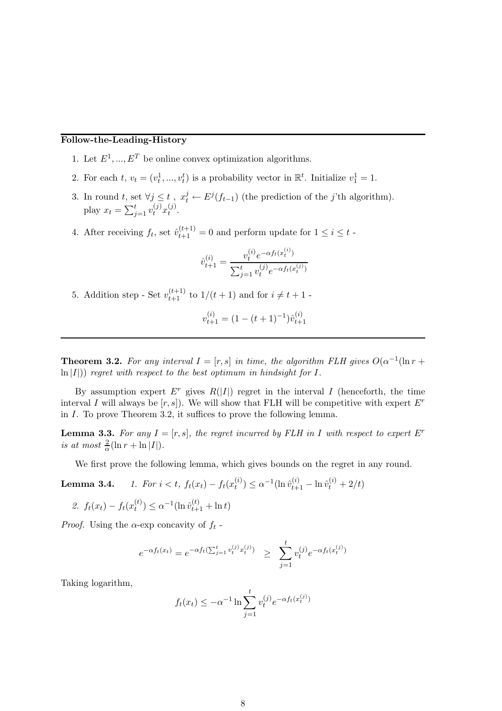## Follow-the-Leading-History

- 1. Let  $E^1, ..., E^T$  be online convex optimization algorithms.
- 2. For each  $t, v_t = (v_t^1, ..., v_t^t)$  is a probability vector in  $\mathbb{R}^t$ . Initialize  $v_1^1 = 1$ .
- 3. In round t, set  $\forall j \leq t$ ,  $x_t^j \leftarrow E^j(f_{t-1})$  (the prediction of the j'th algorithm). play  $x_t = \sum_{j=1}^t v_t^{(j)} x_t^{(j)}$  $t^{(J)}$ .
- 4. After receiving  $f_t$ , set  $\hat{v}_{t+1}^{(t+1)} = 0$  and perform update for  $1 \leq i \leq t$ .

$$
\hat{v}_{t+1}^{(i)} = \frac{v_t^{(i)} e^{-\alpha f_t(x_t^{(i)})}}{\sum_{j=1}^t v_t^{(j)} e^{-\alpha f_t(x_t^{(j)})}}
$$

5. Addition step - Set  $v_{t+1}^{(t+1)}$  to  $1/(t+1)$  and for  $i \neq t+1$  -

$$
v_{t+1}^{(i)} = (1 - (t+1)^{-1})\hat{v}_{t+1}^{(i)}
$$

**Theorem 3.2.** For any interval  $I = [r, s]$  in time, the algorithm FLH gives  $O(\alpha^{-1}(\ln r +$  $\ln |I|$ ) regret with respect to the best optimum in hindsight for I.

By assumption expert  $E^r$  gives  $R(|I|)$  regret in the interval I (henceforth, the time interval I will always be  $[r, s]$ . We will show that FLH will be competitive with expert  $E^r$ in I. To prove Theorem 3.2, it suffices to prove the following lemma.

**Lemma 3.3.** For any  $I = [r, s]$ , the regret incurred by FLH in I with respect to expert  $E^r$ is at most  $\frac{2}{\alpha}(\ln r + \ln |I|)$ .

We first prove the following lemma, which gives bounds on the regret in any round.

**Lemma 3.4.** 1. For 
$$
i < t
$$
,  $f_t(x_t) - f_t(x_t^{(i)}) \leq \alpha^{-1} (\ln \hat{v}_{t+1}^{(i)} - \ln \hat{v}_t^{(i)} + 2/t)$ 

2. 
$$
f_t(x_t) - f_t(x_t^{(t)}) \leq \alpha^{-1} (\ln \hat{v}_{t+1}^{(t)} + \ln t)
$$

*Proof.* Using the  $\alpha$ -exp concavity of  $f_t$  -

$$
e^{-\alpha f_t(x_t)} = e^{-\alpha f_t(\sum_{j=1}^t v_t^{(j)} x_t^{(j)})} \ge \sum_{j=1}^t v_t^{(j)} e^{-\alpha f_t(x_t^{(j)})}
$$

Taking logarithm,

$$
f_t(x_t) \le -\alpha^{-1} \ln \sum_{j=1}^t v_t^{(j)} e^{-\alpha f_t(x_t^{(j)})}
$$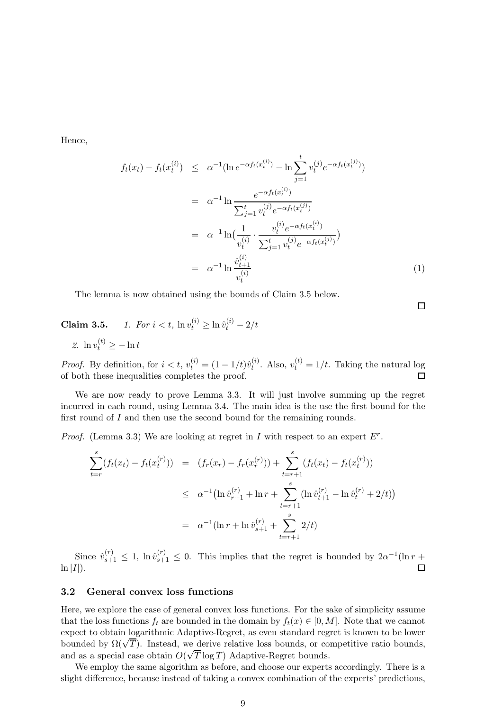Hence,

$$
f_t(x_t) - f_t(x_t^{(i)}) \leq \alpha^{-1} (\ln e^{-\alpha f_t(x_t^{(i)})} - \ln \sum_{j=1}^t v_t^{(j)} e^{-\alpha f_t(x_t^{(j)})})
$$
  
\n
$$
= \alpha^{-1} \ln \frac{e^{-\alpha f_t(x_t^{(i)})}}{\sum_{j=1}^t v_t^{(j)} e^{-\alpha f_t(x_t^{(j)})}}
$$
  
\n
$$
= \alpha^{-1} \ln \left( \frac{1}{v_t^{(i)}} \cdot \frac{v_t^{(i)} e^{-\alpha f_t(x_t^{(i)})}}{\sum_{j=1}^t v_t^{(j)} e^{-\alpha f_t(x_t^{(j)})}} \right)
$$
  
\n
$$
= \alpha^{-1} \ln \frac{\hat{v}_{t+1}^{(i)}}{v_t^{(i)}} \tag{1}
$$

 $\Box$ 

The lemma is now obtained using the bounds of Claim 3.5 below.

# **Claim 3.5.** 1. For  $i < t$ ,  $\ln v_t^{(i)} \ge \ln \hat{v}_t^{(i)} - 2/t$

2.  $\ln v_t^{(t)} \geq -\ln t$ 

*Proof.* By definition, for  $i < t$ ,  $v_t^{(i)} = (1 - 1/t)\hat{v}_t^{(i)}$  $t_t^{(i)}$ . Also,  $v_t^{(t)} = 1/t$ . Taking the natural log of both these inequalities completes the proof.

We are now ready to prove Lemma 3.3. It will just involve summing up the regret incurred in each round, using Lemma 3.4. The main idea is the use the first bound for the first round of I and then use the second bound for the remaining rounds.

*Proof.* (Lemma 3.3) We are looking at regret in  $I$  with respect to an expert  $E^r$ .

$$
\sum_{t=r}^{s} (f_t(x_t) - f_t(x_t^{(r)})) = (f_r(x_r) - f_r(x_r^{(r)})) + \sum_{t=r+1}^{s} (f_t(x_t) - f_t(x_t^{(r)}))
$$
\n
$$
\leq \alpha^{-1} (\ln \hat{v}_{r+1}^{(r)} + \ln r + \sum_{t=r+1}^{s} (\ln \hat{v}_{t+1}^{(r)} - \ln \hat{v}_t^{(r)} + 2/t))
$$
\n
$$
= \alpha^{-1} (\ln r + \ln \hat{v}_{s+1}^{(r)} + \sum_{t=r+1}^{s} 2/t)
$$

Since  $\hat{v}_{s+1}^{(r)} \leq 1$ ,  $\ln \hat{v}_{s+1}^{(r)} \leq 0$ . This implies that the regret is bounded by  $2\alpha^{-1}(\ln r +$  $\Box$  $\ln |I|$ ).

#### 3.2 General convex loss functions

Here, we explore the case of general convex loss functions. For the sake of simplicity assume that the loss functions  $f_t$  are bounded in the domain by  $f_t(x) \in [0, M]$ . Note that we cannot expect to obtain logarithmic Adaptive-Regret, as even standard regret is known to be lower bounded by  $\Omega(\sqrt{T})$ . Instead, we derive relative loss bounds, or competitive ratio bounds, and as a special case obtain  $O(\sqrt{T} \log T)$  Adaptive-Regret bounds.

We employ the same algorithm as before, and choose our experts accordingly. There is a slight difference, because instead of taking a convex combination of the experts' predictions,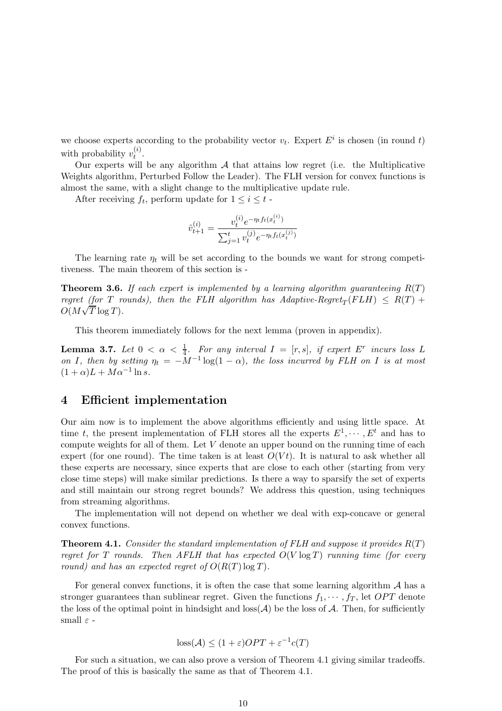we choose experts according to the probability vector  $v_t$ . Expert  $E^i$  is chosen (in round t) with probability  $v_t^{(i)}$  $\stackrel{(i)}{t}$ .

Our experts will be any algorithm  $A$  that attains low regret (i.e. the Multiplicative Weights algorithm, Perturbed Follow the Leader). The FLH version for convex functions is almost the same, with a slight change to the multiplicative update rule.

After receiving  $f_t$ , perform update for  $1 \leq i \leq t$ .

$$
\hat{v}_{t+1}^{(i)} = \frac{v_t^{(i)} e^{-\eta_t f_t(x_t^{(i)})}}{\sum_{j=1}^t v_t^{(j)} e^{-\eta_t f_t(x_t^{(j)})}}
$$

The learning rate  $\eta_t$  will be set according to the bounds we want for strong competitiveness. The main theorem of this section is -

**Theorem 3.6.** If each expert is implemented by a learning algorithm quaranteeing  $R(T)$ regret (for T rounds), then the FLH algorithm has  $Adaptive\text{-}Regret_T(FLH) \ \leq \ R(T) +$  $O(M\sqrt{T}\log T)$ .

This theorem immediately follows for the next lemma (proven in appendix).

**Lemma 3.7.** Let  $0 < \alpha < \frac{1}{4}$ . For any interval  $I = [r, s]$ , if expert  $E^r$  incurs loss L **Definite 3.1.** Let  $0 < \alpha < \frac{1}{4}$ . For any interval  $I = [t, s]$ , if expert  $E$  incurs loss  $E$  on  $I$ , then by setting  $\eta_t = -M^{-1} \log(1-\alpha)$ , the loss incurred by FLH on  $I$  is at most  $(1+\alpha)L + M\alpha^{-1}\ln s.$ 

## 4 Efficient implementation

Our aim now is to implement the above algorithms efficiently and using little space. At time t, the present implementation of FLH stores all the experts  $E^1, \dots, E^t$  and has to compute weights for all of them. Let  $V$  denote an upper bound on the running time of each expert (for one round). The time taken is at least  $O(Vt)$ . It is natural to ask whether all these experts are necessary, since experts that are close to each other (starting from very close time steps) will make similar predictions. Is there a way to sparsify the set of experts and still maintain our strong regret bounds? We address this question, using techniques from streaming algorithms.

The implementation will not depend on whether we deal with exp-concave or general convex functions.

**Theorem 4.1.** Consider the standard implementation of FLH and suppose it provides  $R(T)$ regret for T rounds. Then AFLH that has expected  $O(V \log T)$  running time (for every round) and has an expected regret of  $O(R(T) \log T)$ .

For general convex functions, it is often the case that some learning algorithm  $A$  has a stronger guarantees than sublinear regret. Given the functions  $f_1, \dots, f_T$ , let  $OPT$  denote the loss of the optimal point in hindsight and  $\cos(A)$  be the loss of A. Then, for sufficiently small  $\varepsilon$  -

$$
loss(\mathcal{A}) \le (1+\varepsilon)OPT + \varepsilon^{-1}c(T)
$$

For such a situation, we can also prove a version of Theorem 4.1 giving similar tradeoffs. The proof of this is basically the same as that of Theorem 4.1.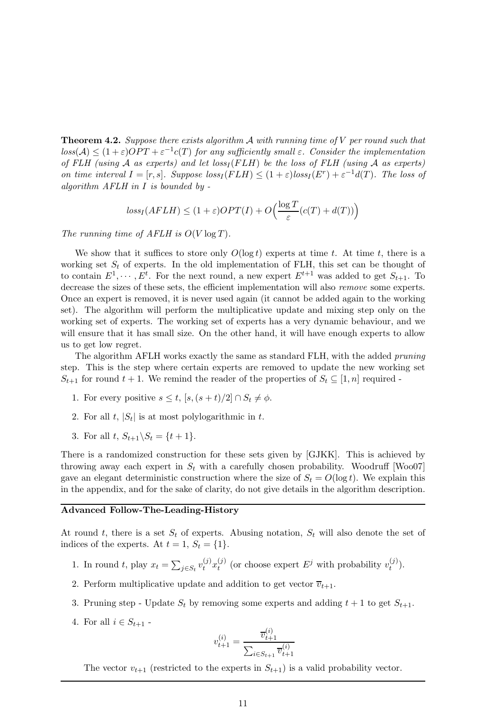**Theorem 4.2.** Suppose there exists algorithm  $\mathcal A$  with running time of  $V$  per round such that  $loss(\mathcal{A}) \leq (1+\varepsilon)OPT + \varepsilon^{-1}c(T)$  for any sufficiently small  $\varepsilon$ . Consider the implementation of FLH (using  $A$  as experts) and let loss<sub>I</sub> (FLH) be the loss of FLH (using  $A$  as experts) on time interval  $I = [r, s]$ . Suppose  $loss_I(FLH) \leq (1 + \varepsilon)loss_I(E^r) + \varepsilon^{-1}d(T)$ . The loss of algorithm  $AFLH$  in I is bounded by  $-$ 

$$
loss_I(AFLH) \le (1+\varepsilon)OPT(I) + O\left(\frac{\log T}{\varepsilon}(c(T) + d(T))\right)
$$

The running time of AFLH is  $O(V \log T)$ .

We show that it suffices to store only  $O(\log t)$  experts at time t. At time t, there is a working set  $S_t$  of experts. In the old implementation of FLH, this set can be thought of to contain  $E^1, \dots, E^t$ . For the next round, a new expert  $E^{t+1}$  was added to get  $S_{t+1}$ . To decrease the sizes of these sets, the efficient implementation will also remove some experts. Once an expert is removed, it is never used again (it cannot be added again to the working set). The algorithm will perform the multiplicative update and mixing step only on the working set of experts. The working set of experts has a very dynamic behaviour, and we will ensure that it has small size. On the other hand, it will have enough experts to allow us to get low regret.

The algorithm AFLH works exactly the same as standard FLH, with the added *pruning* step. This is the step where certain experts are removed to update the new working set  $S_{t+1}$  for round  $t+1$ . We remind the reader of the properties of  $S_t \subseteq [1,n]$  required -

- 1. For every positive  $s \leq t$ ,  $[s, (s + t)/2] \cap S_t \neq \emptyset$ .
- 2. For all  $t$ ,  $|S_t|$  is at most polylogarithmic in  $t$ .
- 3. For all t,  $S_{t+1} \backslash S_t = \{t+1\}.$

There is a randomized construction for these sets given by [GJKK]. This is achieved by throwing away each expert in  $S_t$  with a carefully chosen probability. Woodruff [Woo07] gave an elegant deterministic construction where the size of  $S_t = O(\log t)$ . We explain this in the appendix, and for the sake of clarity, do not give details in the algorithm description.

#### Advanced Follow-The-Leading-History

At round t, there is a set  $S_t$  of experts. Abusing notation,  $S_t$  will also denote the set of indices of the experts. At  $t = 1$ ,  $S_t = \{1\}$ .

- 1. In round t, play  $x_t = \sum_{j \in S_t} v_t^{(j)} x_t^{(j)}$  $t_t^{(j)}$  (or choose expert  $E^j$  with probability  $v_t^{(j)}$  $\binom{J}{t}$ .
- 2. Perform multiplicative update and addition to get vector  $\overline{v}_{t+1}$ .
- 3. Pruning step Update  $S_t$  by removing some experts and adding  $t + 1$  to get  $S_{t+1}$ .
- 4. For all  $i \in S_{t+1}$ .

$$
v_{t+1}^{(i)} = \frac{\overline{v}_{t+1}^{(i)}}{\sum_{i \in S_{t+1}} \overline{v}_{t+1}^{(i)}}
$$

The vector  $v_{t+1}$  (restricted to the experts in  $S_{t+1}$ ) is a valid probability vector.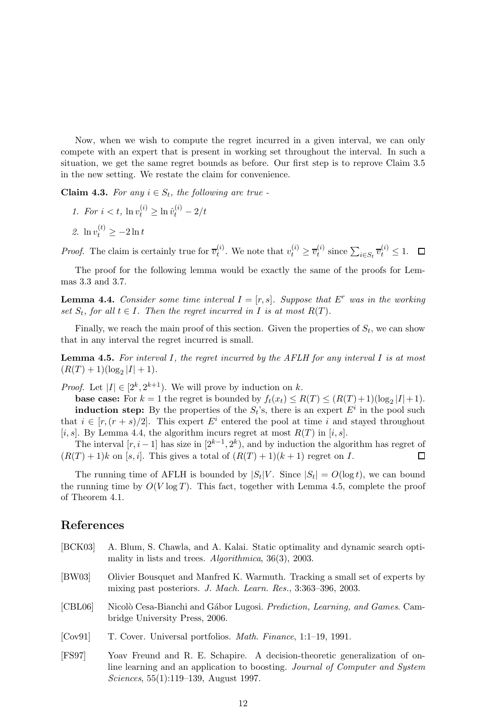Now, when we wish to compute the regret incurred in a given interval, we can only compete with an expert that is present in working set throughout the interval. In such a situation, we get the same regret bounds as before. Our first step is to reprove Claim 3.5 in the new setting. We restate the claim for convenience.

**Claim 4.3.** For any  $i \in S_t$ , the following are true -

- 1. For  $i < t$ ,  $\ln v_t^{(i)} \ge \ln \hat{v}_t^{(i)} 2/t$
- 2.  $\ln v_t^{(t)} \ge -2 \ln t$

*Proof.* The claim is certainly true for  $\overline{v}_t^{(i)}$  $t_i^{(i)}$ . We note that  $v_t^{(i)} \geq \overline{v}_t^{(i)}$  $t_i^{(i)}$  since  $\sum_{i \in S_t} \overline{v}_t^{(i)} \leq 1$ .

The proof for the following lemma would be exactly the same of the proofs for Lemmas 3.3 and 3.7.

**Lemma 4.4.** Consider some time interval  $I = [r, s]$ . Suppose that E<sup>r</sup> was in the working set  $S_t$ , for all  $t \in I$ . Then the regret incurred in I is at most  $R(T)$ .

Finally, we reach the main proof of this section. Given the properties of  $S_t$ , we can show that in any interval the regret incurred is small.

**Lemma 4.5.** For interval I, the regret incurred by the AFLH for any interval I is at most  $(R(T) + 1)(\log_2 |I| + 1).$ 

*Proof.* Let  $|I| \in [2^k, 2^{k+1})$ . We will prove by induction on k.

**base case:** For  $k = 1$  the regret is bounded by  $f_t(x_t) \leq R(T) \leq (R(T) + 1)(\log_2 |I| + 1)$ . **induction step:** By the properties of the  $S_t$ 's, there is an expert  $E^i$  in the pool such that  $i \in [r, (r + s)/2]$ . This expert  $E^i$  entered the pool at time i and stayed throughout [i, s]. By Lemma 4.4, the algorithm incurs regret at most  $R(T)$  in [i, s].

The interval  $[r, i-1]$  has size in  $[2^{k-1}, 2^k)$ , and by induction the algorithm has regret of  $\Box$  $(R(T) + 1)k$  on [s, i]. This gives a total of  $(R(T) + 1)(k + 1)$  regret on I.

The running time of AFLH is bounded by  $|S_t|V$ . Since  $|S_t| = O(\log t)$ , we can bound the running time by  $O(V \log T)$ . This fact, together with Lemma 4.5, complete the proof of Theorem 4.1.

## References

| [BCK03] | A. Blum, S. Chawla, and A. Kalai. Static optimality and dynamic search opti-<br>mality in lists and trees. $Algorithmica$ , 36(3), 2003.                                                                       |
|---------|----------------------------------------------------------------------------------------------------------------------------------------------------------------------------------------------------------------|
| [BW03]  | Olivier Bousquet and Manfred K. Warmuth. Tracking a small set of experts by<br>mixing past posteriors. J. Mach. Learn. Res., 3:363-396, 2003.                                                                  |
| [CBL06] | Nicolò Cesa-Bianchi and Gábor Lugosi. Prediction, Learning, and Games. Cam-<br>bridge University Press, 2006.                                                                                                  |
| [Cov91] | T. Cover. Universal portfolios. <i>Math. Finance</i> , 1:1-19, 1991.                                                                                                                                           |
| [FS97]  | Yoav Freund and R. E. Schapire. A decision-theoretic generalization of on-<br>line learning and an application to boosting. Journal of Computer and System<br><i>Sciences</i> , $55(1):119-139$ , August 1997. |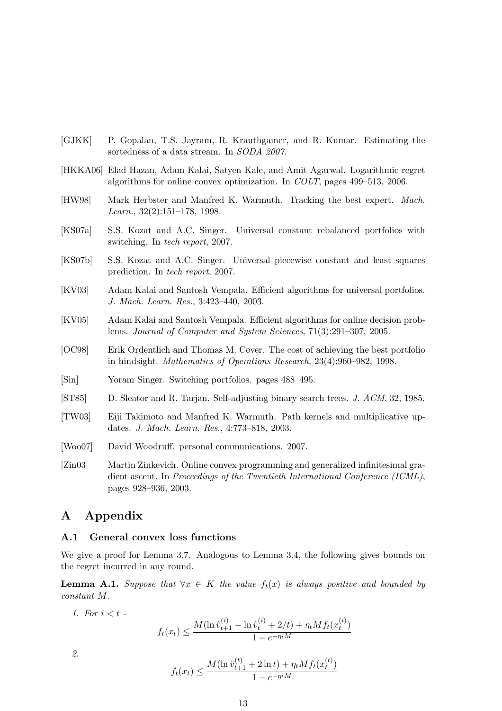- [GJKK] P. Gopalan, T.S. Jayram, R. Krauthgamer, and R. Kumar. Estimating the sortedness of a data stream. In SODA 2007.
- [HKKA06] Elad Hazan, Adam Kalai, Satyen Kale, and Amit Agarwal. Logarithmic regret algorithms for online convex optimization. In COLT, pages 499–513, 2006.
- [HW98] Mark Herbster and Manfred K. Warmuth. Tracking the best expert. Mach. Learn., 32(2):151–178, 1998.
- [KS07a] S.S. Kozat and A.C. Singer. Universal constant rebalanced portfolios with switching. In tech report, 2007.
- [KS07b] S.S. Kozat and A.C. Singer. Universal piecewise constant and least squares prediction. In tech report, 2007.
- [KV03] Adam Kalai and Santosh Vempala. Efficient algorithms for universal portfolios. J. Mach. Learn. Res., 3:423–440, 2003.
- [KV05] Adam Kalai and Santosh Vempala. Efficient algorithms for online decision problems. Journal of Computer and System Sciences, 71(3):291–307, 2005.
- [OC98] Erik Ordentlich and Thomas M. Cover. The cost of achieving the best portfolio in hindsight. Mathematics of Operations Research, 23(4):960–982, 1998.
- [Sin] Yoram Singer. Switching portfolios. pages 488–495.
- [ST85] D. Sleator and R. Tarjan. Self-adjusting binary search trees. J. ACM, 32, 1985.
- [TW03] Eiji Takimoto and Manfred K. Warmuth. Path kernels and multiplicative updates. J. Mach. Learn. Res., 4:773–818, 2003.
- [Woo07] David Woodruff. personal communications. 2007.
- [Zin03] Martin Zinkevich. Online convex programming and generalized infinitesimal gradient ascent. In Proceedings of the Twentieth International Conference (ICML), pages 928–936, 2003.

## A Appendix

#### A.1 General convex loss functions

We give a proof for Lemma 3.7. Analogous to Lemma 3.4, the following gives bounds on the regret incurred in any round.

**Lemma A.1.** Suppose that  $\forall x \in K$  the value  $f_t(x)$  is always positive and bounded by constant M.

1. For  $i < t$  -

$$
f_t(x_t) \le \frac{M(\ln \hat{v}_{t+1}^{(i)} - \ln \hat{v}_t^{(i)} + 2/t) + \eta_t M f_t(x_t^{(i)})}{1 - e^{-\eta_t M}}
$$

2.

$$
f_t(x_t) \le \frac{M(\ln \hat{v}_{t+1}^{(t)} + 2 \ln t) + \eta_t M f_t(x_t^{(t)})}{1 - e^{-\eta_t M}}
$$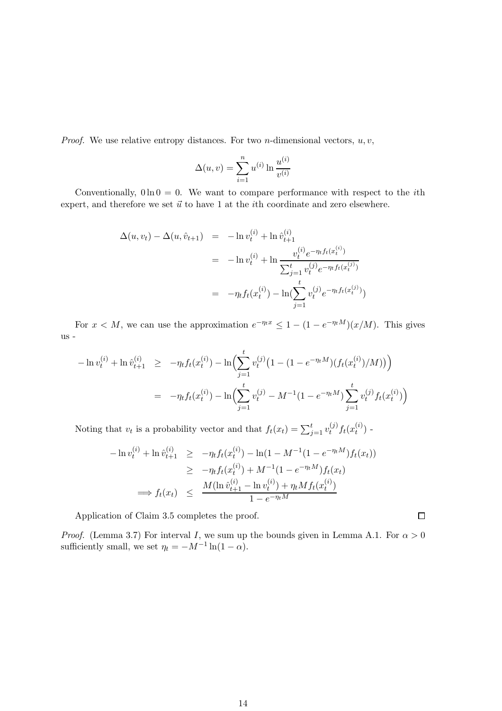*Proof.* We use relative entropy distances. For two *n*-dimensional vectors,  $u, v$ ,

$$
\Delta(u, v) = \sum_{i=1}^{n} u^{(i)} \ln \frac{u^{(i)}}{v^{(i)}}
$$

Conventionally,  $0 \ln 0 = 0$ . We want to compare performance with respect to the *i*th expert, and therefore we set  $\vec{u}$  to have 1 at the *i*th coordinate and zero elsewhere.

$$
\Delta(u, v_t) - \Delta(u, \hat{v}_{t+1}) = -\ln v_t^{(i)} + \ln \hat{v}_{t+1}^{(i)}
$$
  

$$
= -\ln v_t^{(i)} + \ln \frac{v_t^{(i)} e^{-\eta_t f_t(x_t^{(i)})}}{\sum_{j=1}^t v_t^{(j)} e^{-\eta_t f_t(x_t^{(j)})}}
$$
  

$$
= -\eta_t f_t(x_t^{(i)}) - \ln(\sum_{j=1}^t v_t^{(j)} e^{-\eta_t f_t(x_t^{(j)})})
$$

For  $x < M$ , we can use the approximation  $e^{-\eta_t x} \leq 1 - (1 - e^{-\eta_t M})(x/M)$ . This gives us -

$$
-\ln v_t^{(i)} + \ln \hat{v}_{t+1}^{(i)} \ge -\eta_t f_t(x_t^{(i)}) - \ln \Bigl( \sum_{j=1}^t v_t^{(j)} \bigl( 1 - (1 - e^{-\eta_t M}) (f_t(x_t^{(i)}) / M) \bigr) \Bigr)
$$
  

$$
= -\eta_t f_t(x_t^{(i)}) - \ln \Bigl( \sum_{j=1}^t v_t^{(j)} - M^{-1} (1 - e^{-\eta_t M}) \sum_{j=1}^t v_t^{(j)} f_t(x_t^{(i)}) \Bigr)
$$

Noting that  $v_t$  is a probability vector and that  $f_t(x_t) = \sum_{j=1}^t v_t^{(j)}$  $_{t}^{\left( j\right) }f_{t}(x_{t}^{\left( i\right) }% )=\gamma _{t}(x_{t}^{\left( i\right) })$  $\binom{t}{t}$  -

$$
-\ln v_t^{(i)} + \ln \hat{v}_{t+1}^{(i)} \ge -\eta_t f_t(x_t^{(i)}) - \ln(1 - M^{-1}(1 - e^{-\eta_t M}) f_t(x_t))
$$
  
\n
$$
\ge -\eta_t f_t(x_t^{(i)}) + M^{-1}(1 - e^{-\eta_t M}) f_t(x_t)
$$
  
\n
$$
\implies f_t(x_t) \le \frac{M(\ln \hat{v}_{t+1}^{(i)} - \ln v_t^{(i)}) + \eta_t M f_t(x_t^{(i)})}{1 - e^{-\eta_t M}}
$$

Application of Claim 3.5 completes the proof.

*Proof.* (Lemma 3.7) For interval I, we sum up the bounds given in Lemma A.1. For  $\alpha > 0$ sufficiently small, we set  $\eta_t = -M^{-1} \ln(1 - \alpha)$ .

 $\Box$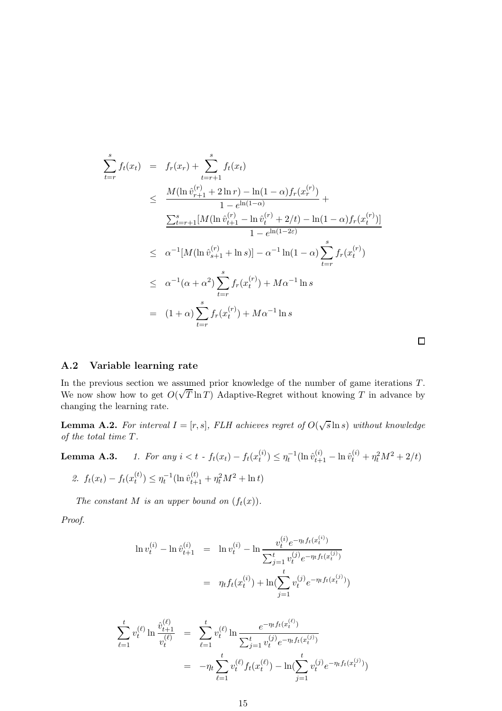$$
\sum_{t=r}^{s} f_t(x_t) = f_r(x_r) + \sum_{t=r+1}^{s} f_t(x_t)
$$
\n
$$
\leq \frac{M(\ln \hat{v}_{r+1}^{(r)} + 2 \ln r) - \ln(1-\alpha) f_r(x_r^{(r)})}{1 - e^{\ln(1-\alpha)}} + \frac{\sum_{t=r+1}^{s} [M(\ln \hat{v}_{t+1}^{(r)} - \ln \hat{v}_t^{(r)} + 2/t) - \ln(1-\alpha) f_r(x_t^{(r)})]}{1 - e^{\ln(1-2\varepsilon)}}
$$
\n
$$
\leq \alpha^{-1} [M(\ln \hat{v}_{s+1}^{(r)} + \ln s)] - \alpha^{-1} \ln(1-\alpha) \sum_{t=r}^{s} f_r(x_t^{(r)})
$$
\n
$$
\leq \alpha^{-1} (\alpha + \alpha^2) \sum_{t=r}^{s} f_r(x_t^{(r)}) + M\alpha^{-1} \ln s
$$
\n
$$
= (1 + \alpha) \sum_{t=r}^{s} f_r(x_t^{(r)}) + M\alpha^{-1} \ln s
$$

## A.2 Variable learning rate

In the previous section we assumed prior knowledge of the number of game iterations T. We now show how to get  $O(\sqrt{T} \ln T)$  Adaptive-Regret without knowing T in advance by changing the learning rate.

**Lemma A.2.** For interval  $I = [r, s]$ , FLH achieves regret of  $O(\sqrt{s} \ln s)$  without knowledge of the total time T.

**Lemma A.3.** 1. For any 
$$
i < t - f_t(x_t) - f_t(x_t^{(i)}) \le \eta_t^{-1} (\ln \hat{v}_{t+1}^{(i)} - \ln \hat{v}_t^{(i)} + \eta_t^2 M^2 + 2/t)
$$
  
2.  $f_t(x_t) - f_t(x_t^{(t)}) \le \eta_t^{-1} (\ln \hat{v}_{t+1}^{(t)} + \eta_t^2 M^2 + \ln t)$ 

The constant M is an upper bound on  $(f_t(x))$ .

Proof.

$$
\ln v_t^{(i)} - \ln \hat{v}_{t+1}^{(i)} = \ln v_t^{(i)} - \ln \frac{v_t^{(i)} e^{-\eta_t f_t(x_t^{(i)})}}{\sum_{j=1}^t v_t^{(j)} e^{-\eta_t f_t(x_t^{(j)})}}
$$

$$
= \eta_t f_t(x_t^{(i)}) + \ln(\sum_{j=1}^t v_t^{(j)} e^{-\eta_t f_t(x_t^{(j)})})
$$

$$
\sum_{\ell=1}^{t} v_t^{(\ell)} \ln \frac{\hat{v}_{t+1}^{(\ell)}}{v_t^{(\ell)}} = \sum_{\ell=1}^{t} v_t^{(\ell)} \ln \frac{e^{-\eta_t f_t(x_t^{(\ell)})}}{\sum_{j=1}^{t} v_t^{(j)} e^{-\eta_t f_t(x_t^{(j)})}}
$$

$$
= -\eta_t \sum_{\ell=1}^{t} v_t^{(\ell)} f_t(x_t^{(\ell)}) - \ln(\sum_{j=1}^{t} v_t^{(j)} e^{-\eta_t f_t(x_t^{(j)})})
$$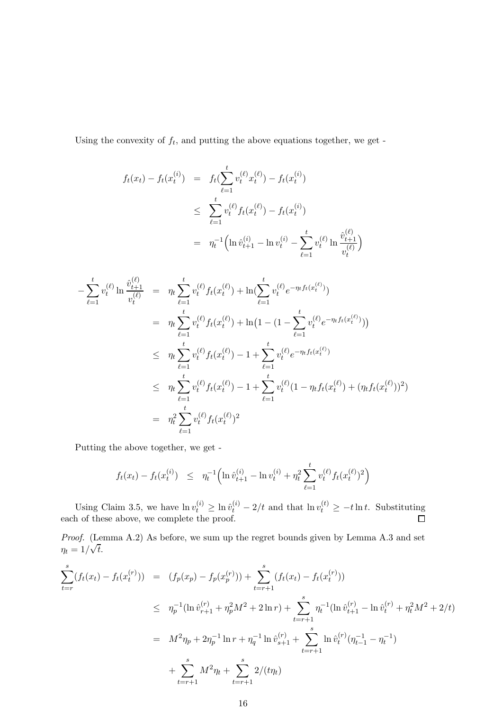Using the convexity of  $f_t$ , and putting the above equations together, we get -

$$
f_t(x_t) - f_t(x_t^{(i)}) = f_t(\sum_{\ell=1}^t v_t^{(\ell)} x_t^{(\ell)}) - f_t(x_t^{(i)})
$$
  

$$
\leq \sum_{\ell=1}^t v_t^{(\ell)} f_t(x_t^{(\ell)}) - f_t(x_t^{(i)})
$$
  

$$
= \eta_t^{-1} \Big( \ln \hat{v}_{t+1}^{(i)} - \ln v_t^{(i)} - \sum_{\ell=1}^t v_t^{(\ell)} \ln \frac{\hat{v}_{t+1}^{(\ell)}}{v_t^{(\ell)}} \Big)
$$

$$
-\sum_{\ell=1}^{t} v_{t}^{(\ell)} \ln \frac{\hat{v}_{t+1}^{(\ell)}}{v_{t}^{(\ell)}} = \eta_{t} \sum_{\ell=1}^{t} v_{t}^{(\ell)} f_{t}(x_{t}^{(\ell)}) + \ln(\sum_{\ell=1}^{t} v_{t}^{(\ell)} e^{-\eta_{t} f_{t}(x_{t}^{(\ell)})})
$$
  
\n
$$
= \eta_{t} \sum_{\ell=1}^{t} v_{t}^{(\ell)} f_{t}(x_{t}^{(\ell)}) + \ln(1 - (1 - \sum_{\ell=1}^{t} v_{t}^{(\ell)} e^{-\eta_{t} f_{t}(x_{t}^{(\ell)})}))
$$
  
\n
$$
\leq \eta_{t} \sum_{\ell=1}^{t} v_{t}^{(\ell)} f_{t}(x_{t}^{(\ell)}) - 1 + \sum_{\ell=1}^{t} v_{t}^{(\ell)} e^{-\eta_{t} f_{t}(x_{t}^{(\ell)})}
$$
  
\n
$$
\leq \eta_{t} \sum_{\ell=1}^{t} v_{t}^{(\ell)} f_{t}(x_{t}^{(\ell)}) - 1 + \sum_{\ell=1}^{t} v_{t}^{(\ell)} (1 - \eta_{t} f_{t}(x_{t}^{(\ell)}) + (\eta_{t} f_{t}(x_{t}^{(\ell)}))^2)
$$
  
\n
$$
= \eta_{t}^{2} \sum_{\ell=1}^{t} v_{t}^{(\ell)} f_{t}(x_{t}^{(\ell)})^2
$$

Putting the above together, we get -

$$
f_t(x_t) - f_t(x_t^{(i)}) \leq \eta_t^{-1} \Big( \ln \hat{v}_{t+1}^{(i)} - \ln v_t^{(i)} + \eta_t^2 \sum_{\ell=1}^t v_t^{(\ell)} f_t(x_t^{(\ell)})^2 \Big)
$$

Using Claim 3.5, we have  $\ln v_t^{(i)} \geq \ln \hat{v}_t^{(i)} - 2/t$  and that  $\ln v_t^{(t)} \geq -t \ln t$ . Substituting each of these above, we complete the proof.

Proof. (Lemma A.2) As before, we sum up the regret bounds given by Lemma A.3 and set  $\eta_t = 1/\sqrt{t}.$ 

$$
\sum_{t=r}^{s} (f_t(x_t) - f_t(x_t^{(r)})) = (f_p(x_p) - f_p(x_p^{(r)})) + \sum_{t=r+1}^{s} (f_t(x_t) - f_t(x_t^{(r)}))
$$
\n
$$
\leq \eta_p^{-1} (\ln \hat{v}_{r+1}^{(r)} + \eta_p^2 M^2 + 2 \ln r) + \sum_{t=r+1}^{s} \eta_t^{-1} (\ln \hat{v}_{t+1}^{(r)} - \ln \hat{v}_t^{(r)} + \eta_t^2 M^2 + 2/t)
$$
\n
$$
= M^2 \eta_p + 2\eta_p^{-1} \ln r + \eta_q^{-1} \ln \hat{v}_{s+1}^{(r)} + \sum_{t=r+1}^{s} \ln \hat{v}_t^{(r)} (\eta_{t-1}^{-1} - \eta_t^{-1})
$$
\n
$$
+ \sum_{t=r+1}^{s} M^2 \eta_t + \sum_{t=r+1}^{s} 2/(t\eta_t)
$$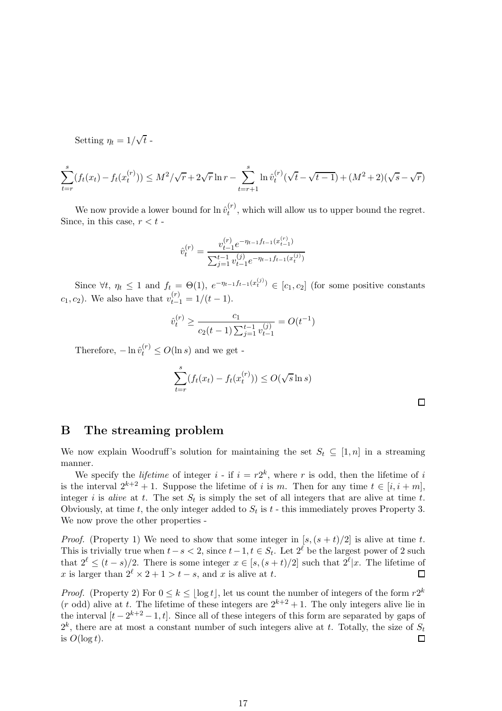Setting  $\eta_t = 1/\sqrt{t}$ .

$$
\sum_{t=r}^{s} (f_t(x_t) - f_t(x_t^{(r)})) \le M^2 / \sqrt{r} + 2\sqrt{r} \ln r - \sum_{t=r+1}^{s} \ln \hat{v}_t^{(r)} (\sqrt{t} - \sqrt{t-1}) + (M^2 + 2)(\sqrt{s} - \sqrt{r})
$$

We now provide a lower bound for  $\ln \hat{v}_t^{(r)}$  $t_t^{(r)}$ , which will allow us to upper bound the regret. Since, in this case,  $r < t$  -

$$
\hat{v}_t^{(r)} = \frac{v_{t-1}^{(r)} e^{-\eta_{t-1} f_{t-1}(x_{t-1}^{(r)})}}{\sum_{j=1}^{t-1} v_{t-1}^{(j)} e^{-\eta_{t-1} f_{t-1}(x_t^{(j)})}}
$$

Since  $\forall t, \eta_t \leq 1$  and  $f_t = \Theta(1), e^{-\eta_{t-1}f_{t-1}(x_t^{(j)})} \in [c_1, c_2]$  (for some positive constants  $c_1, c_2$ ). We also have that  $v_{t-1}^{(r)} = 1/(t-1)$ .

$$
\hat{v}_t^{(r)} \ge \frac{c_1}{c_2(t-1)\sum_{j=1}^{t-1} v_{t-1}^{(j)}} = O(t^{-1})
$$

Therefore,  $-\ln \hat{v}_t^{(r)} \le O(\ln s)$  and we get -

$$
\sum_{t=r}^{s} (f_t(x_t) - f_t(x_t^{(r)})) \le O(\sqrt{s} \ln s)
$$

## B The streaming problem

We now explain Woodruff's solution for maintaining the set  $S_t \subseteq [1, n]$  in a streaming manner.

We specify the *lifetime* of integer  $i$  - if  $i = r2^k$ , where r is odd, then the lifetime of i is the interval  $2^{k+2} + 1$ . Suppose the lifetime of i is m. Then for any time  $t \in [i, i + m]$ , integer i is alive at t. The set  $S_t$  is simply the set of all integers that are alive at time t. Obviously, at time t, the only integer added to  $S_t$  is t - this immediately proves Property 3. We now prove the other properties -

*Proof.* (Property 1) We need to show that some integer in  $[s,(s + t)/2]$  is alive at time t. This is trivially true when  $t-s < 2$ , since  $t-1$ ,  $t \in S_t$ . Let  $2^{\ell}$  be the largest power of 2 such that  $2^{\ell} \le (t-s)/2$ . There is some integer  $x \in [s, (s+t)/2]$  such that  $2^{\ell} |x$ . The lifetime of x is larger than  $2^{\ell} \times 2 + 1 > t - s$ , and x is alive at t.

*Proof.* (Property 2) For  $0 \le k \le \lfloor \log t \rfloor$ , let us count the number of integers of the form  $r2^k$  $(r \text{ odd})$  alive at t. The lifetime of these integers are  $2^{k+2} + 1$ . The only integers alive lie in the interval  $[t-2^{k+2}-1, t]$ . Since all of these integers of this form are separated by gaps of  $2^k$ , there are at most a constant number of such integers alive at t. Totally, the size of  $S_t$  $\Box$ is  $O(\log t)$ .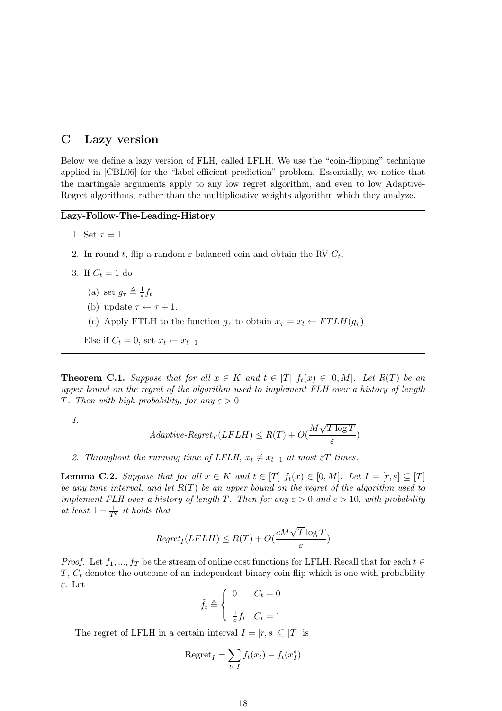## C Lazy version

Below we define a lazy version of FLH, called LFLH. We use the "coin-flipping" technique applied in [CBL06] for the "label-efficient prediction" problem. Essentially, we notice that the martingale arguments apply to any low regret algorithm, and even to low Adaptive-Regret algorithms, rather than the multiplicative weights algorithm which they analyze.

#### Lazy-Follow-The-Leading-History

- 1. Set  $\tau = 1$ .
- 2. In round t, flip a random  $\varepsilon$ -balanced coin and obtain the RV  $C_t$ .
- 3. If  $C_t = 1$  do
	- (a) set  $g_{\tau} \triangleq \frac{1}{\varepsilon} f_t$
	- (b) update  $\tau \leftarrow \tau + 1$ .
	- (c) Apply FTLH to the function  $g_{\tau}$  to obtain  $x_{\tau} = x_t \leftarrow FTLH(g_{\tau})$

Else if  $C_t = 0$ , set  $x_t \leftarrow x_{t-1}$ 

**Theorem C.1.** Suppose that for all  $x \in K$  and  $t \in [T]$   $f_t(x) \in [0, M]$ . Let  $R(T)$  be an upper bound on the regret of the algorithm used to implement FLH over a history of length T. Then with high probability, for any  $\varepsilon > 0$ 

1.

$$
Adaptive \text{-}Regret_T(LFLH) \leq R(T) + O(\frac{M\sqrt{T\log T}}{\varepsilon})
$$

2. Throughout the running time of LFLH,  $x_t \neq x_{t-1}$  at most  $\varepsilon T$  times.

**Lemma C.2.** Suppose that for all  $x \in K$  and  $t \in [T]$   $f_t(x) \in [0, M]$ . Let  $I = [r, s] \subseteq [T]$ be any time interval, and let  $R(T)$  be an upper bound on the regret of the algorithm used to implement FLH over a history of length T. Then for any  $\varepsilon > 0$  and  $c > 10$ , with probability at least  $1 - \frac{1}{T^c}$  it holds that

$$
Regret_I(LFLH) \le R(T) + O(\frac{cM\sqrt{T}\log T}{\varepsilon})
$$

*Proof.* Let  $f_1, ..., f_T$  be the stream of online cost functions for LFLH. Recall that for each  $t \in$  $T, C_t$  denotes the outcome of an independent binary coin flip which is one with probability ε. Let

$$
\tilde{f}_t \triangleq \begin{cases} 0 & C_t = 0 \\ \frac{1}{\varepsilon} f_t & C_t = 1 \end{cases}
$$

The regret of LFLH in a certain interval  $I = [r, s] \subseteq [T]$  is

$$
\text{Regret}_I = \sum_{t \in I} f_t(x_t) - f_t(x_I^*)
$$